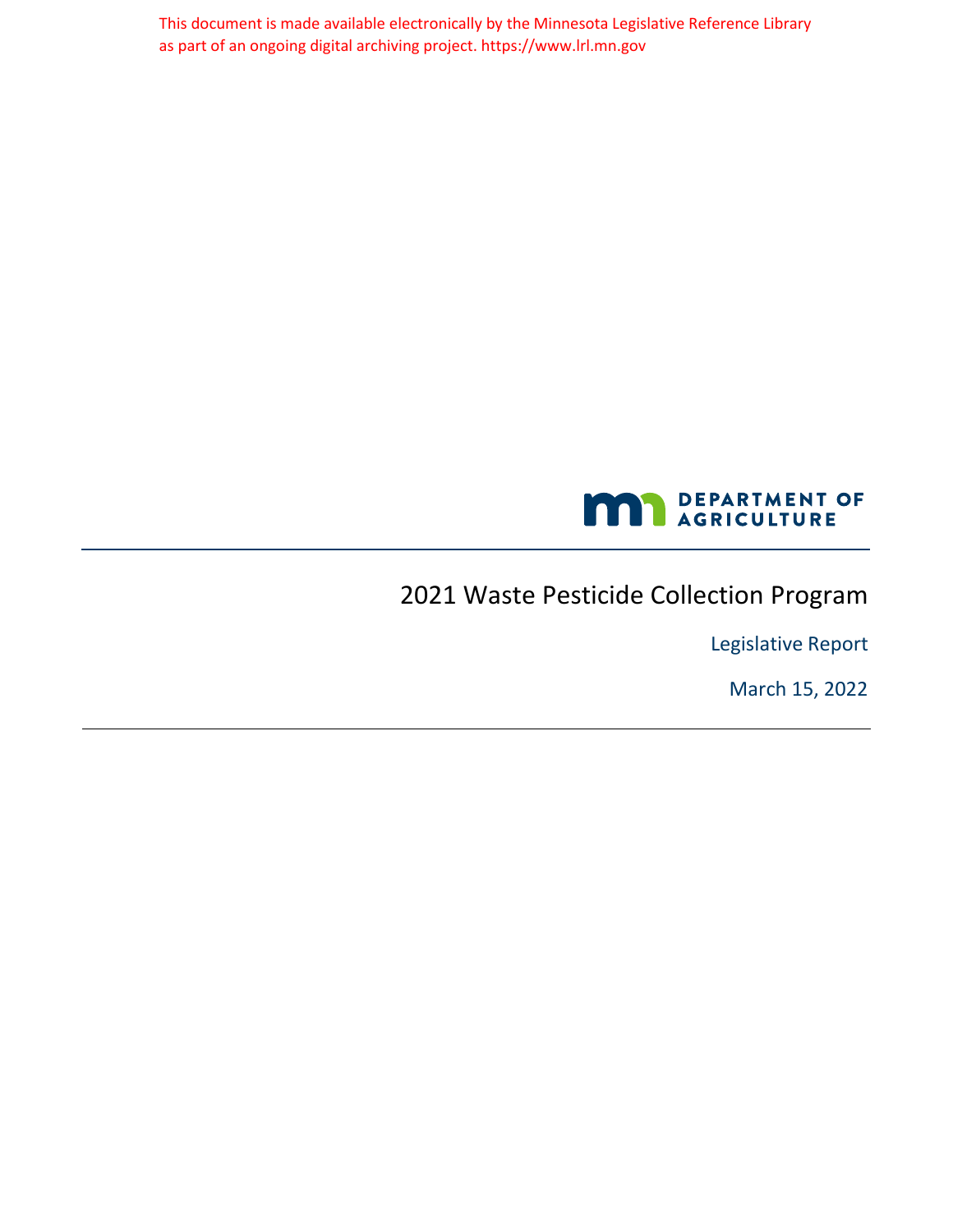This document is made available electronically by the Minnesota Legislative Reference Library as part of an ongoing digital archiving project. https://www.lrl.mn.gov



# <span id="page-0-0"></span>2021 Waste Pesticide Collection Program

Legislative Report

March 15, 2022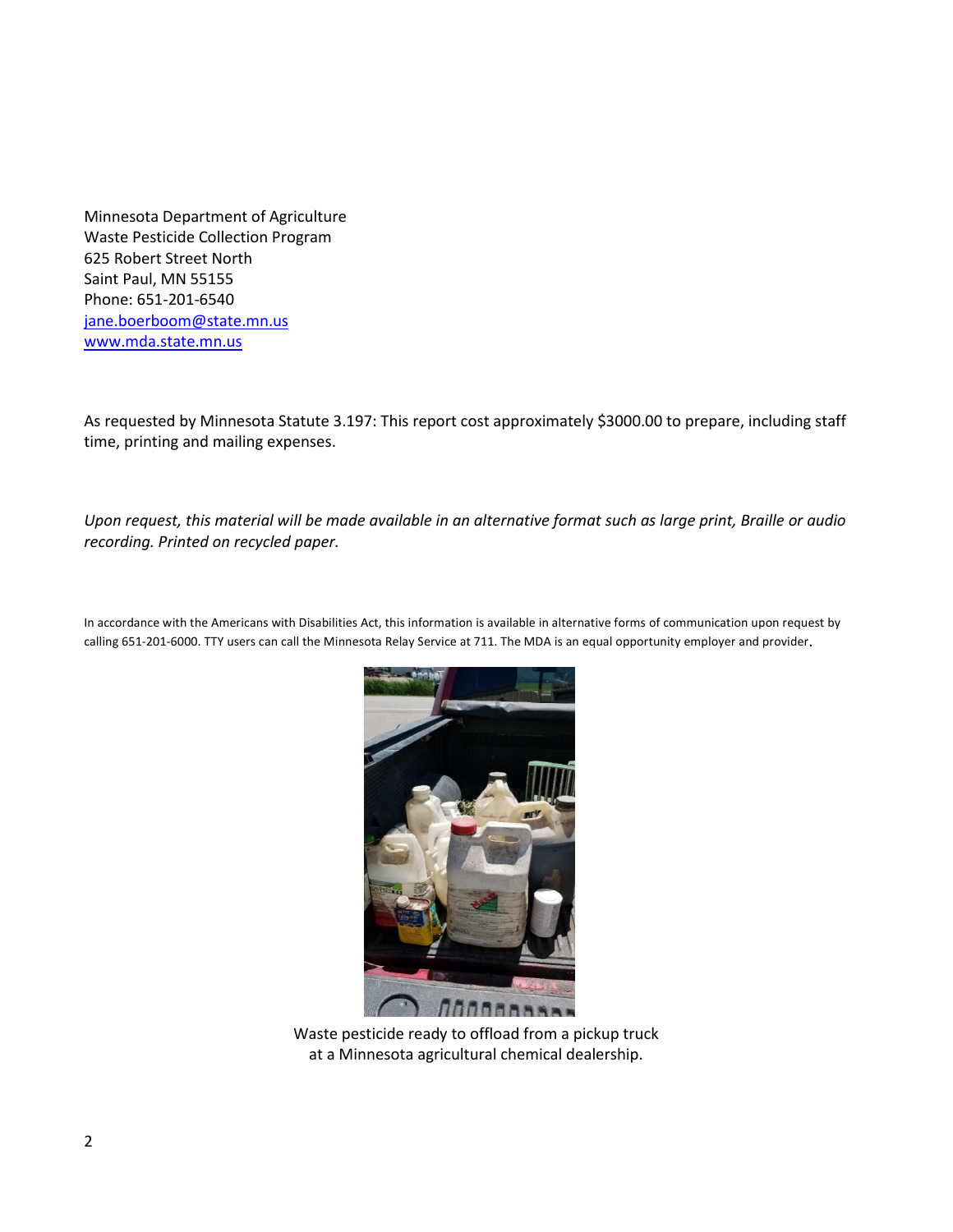Minnesota Department of Agriculture Waste Pesticide Collection Program 625 Robert Street North Saint Paul, MN 55155 Phone: 651-201-6540 [jane.boerboom@state.mn.us](mailto:email@state.mn.us) www[.mda.state.mn.us](http://)

As requested by Minnesota Statute 3.197: This report cost approximately \$3000.00 to prepare, including staff time, printing and mailing expenses.

*Upon request, this material will be made available in an alternative format such as large print, Braille or audio recording. Printed on recycled paper.*

In accordance with the Americans with Disabilities Act, this information is available in alternative forms of communication upon request by calling 651-201-6000. TTY users can call the Minnesota Relay Service at 711. The MDA is an equal opportunity employer and provider.



Waste pesticide ready to offload from a pickup truck at a Minnesota agricultural chemical dealership.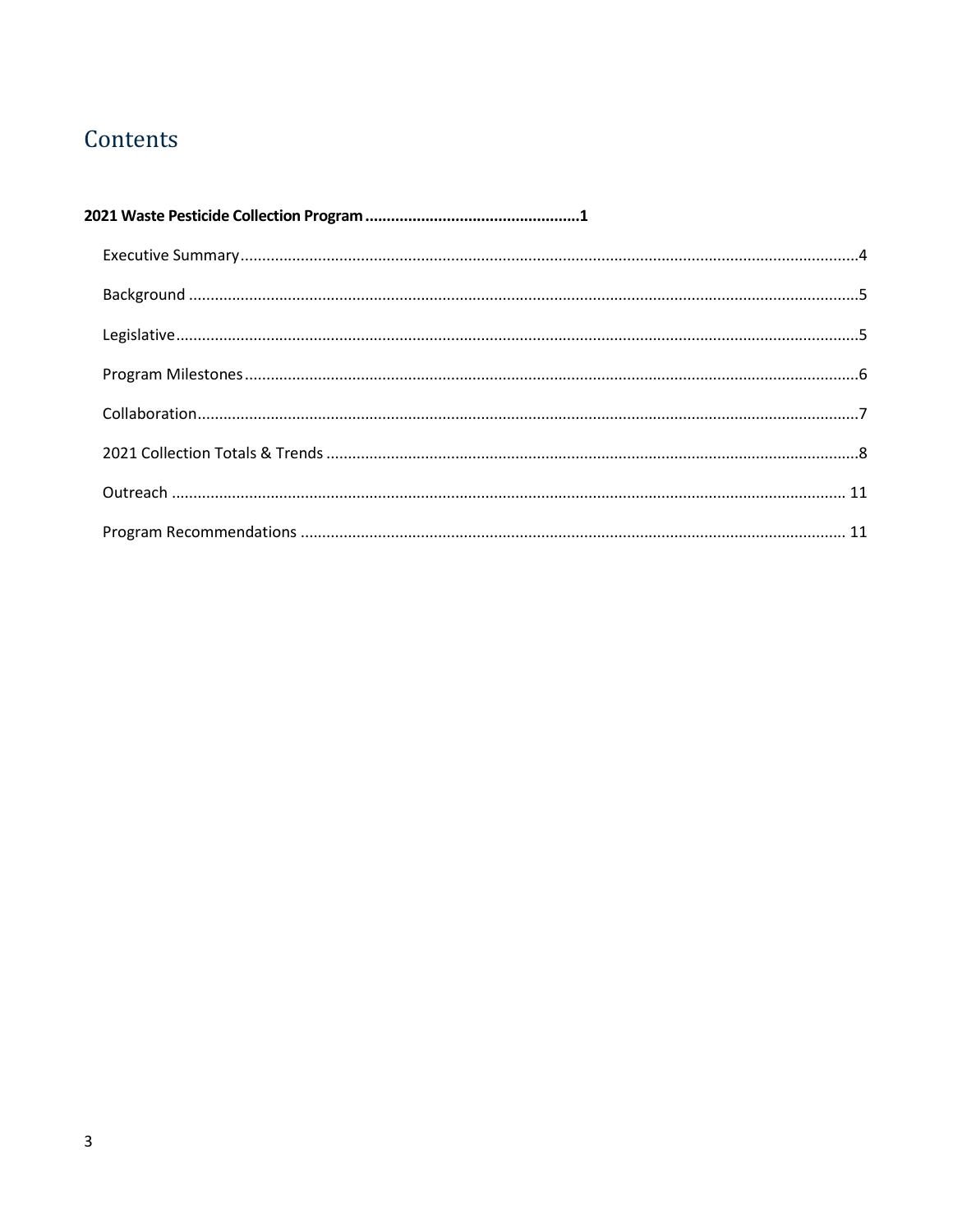# Contents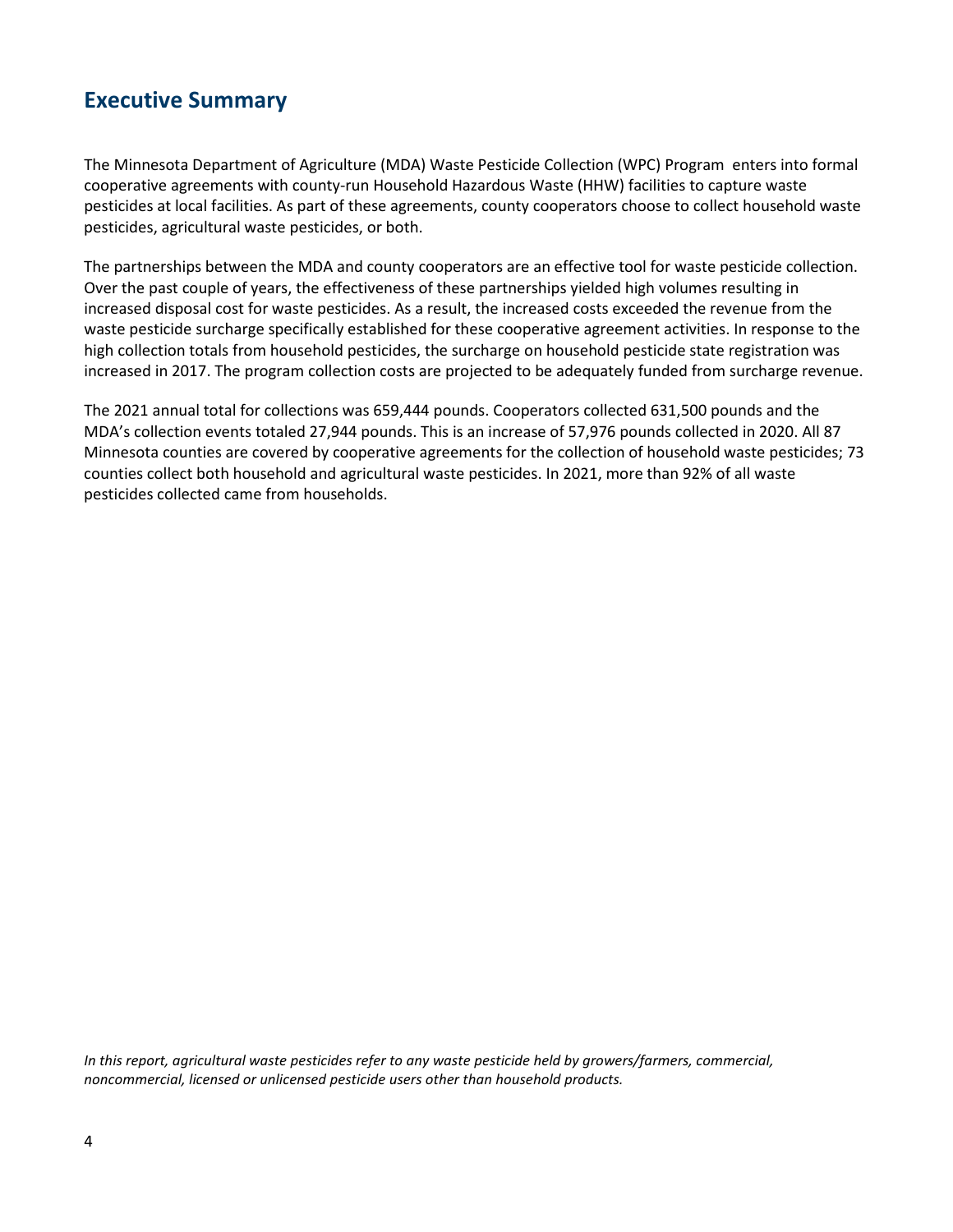### <span id="page-3-0"></span>**Executive Summary**

The Minnesota Department of Agriculture (MDA) Waste Pesticide Collection (WPC) Program enters into formal cooperative agreements with county-run Household Hazardous Waste (HHW) facilities to capture waste pesticides at local facilities. As part of these agreements, county cooperators choose to collect household waste pesticides, agricultural waste pesticides, or both.

The partnerships between the MDA and county cooperators are an effective tool for waste pesticide collection. Over the past couple of years, the effectiveness of these partnerships yielded high volumes resulting in increased disposal cost for waste pesticides. As a result, the increased costs exceeded the revenue from the waste pesticide surcharge specifically established for these cooperative agreement activities. In response to the high collection totals from household pesticides, the surcharge on household pesticide state registration was increased in 2017. The program collection costs are projected to be adequately funded from surcharge revenue.

The 2021 annual total for collections was 659,444 pounds. Cooperators collected 631,500 pounds and the MDA's collection events totaled 27,944 pounds. This is an increase of 57,976 pounds collected in 2020. All 87 Minnesota counties are covered by cooperative agreements for the collection of household waste pesticides; 73 counties collect both household and agricultural waste pesticides. In 2021, more than 92% of all waste pesticides collected came from households.

*In this report, agricultural waste pesticides refer to any waste pesticide held by growers/farmers, commercial, noncommercial, licensed or unlicensed pesticide users other than household products.*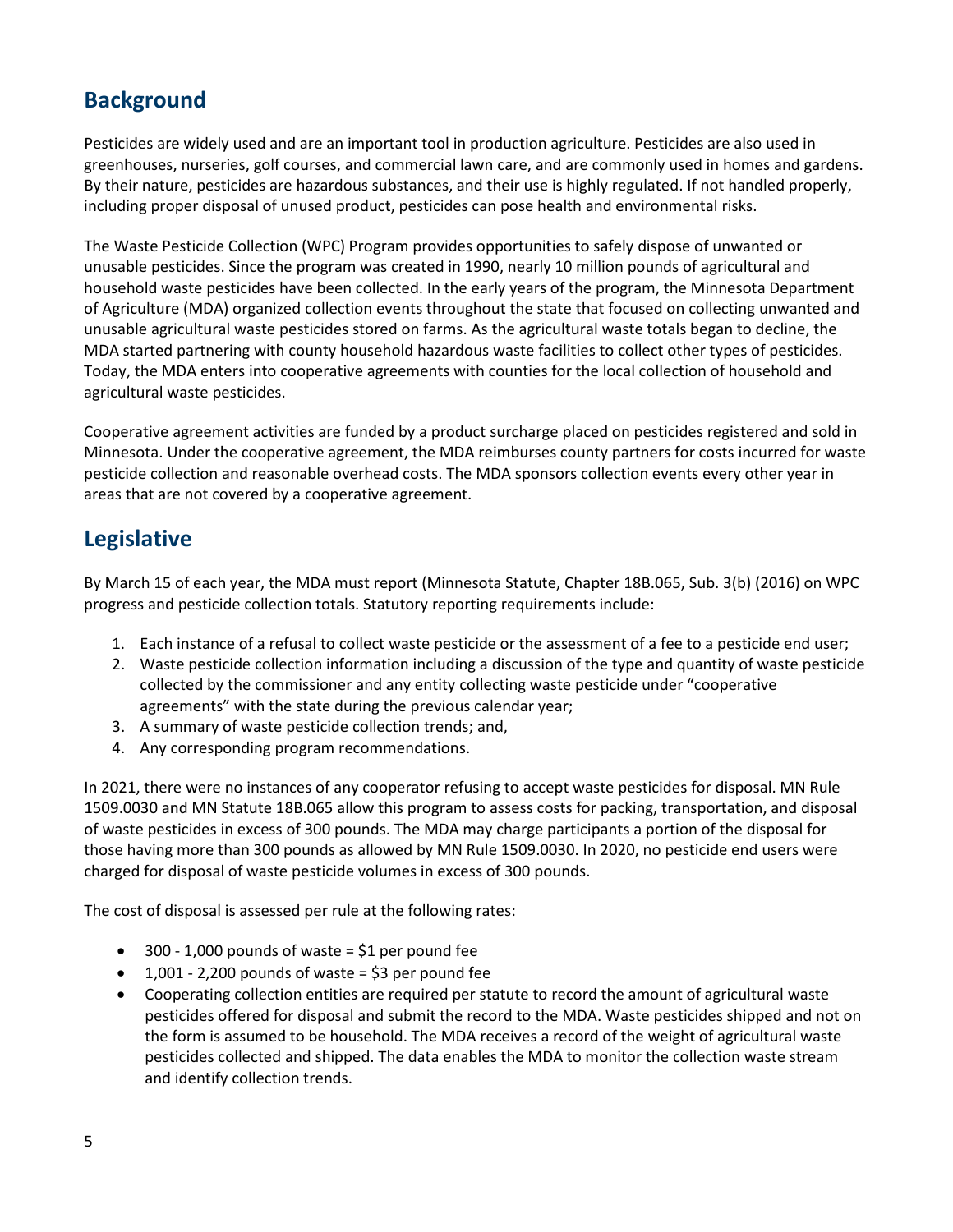## <span id="page-4-0"></span>**Background**

Pesticides are widely used and are an important tool in production agriculture. Pesticides are also used in greenhouses, nurseries, golf courses, and commercial lawn care, and are commonly used in homes and gardens. By their nature, pesticides are hazardous substances, and their use is highly regulated. If not handled properly, including proper disposal of unused product, pesticides can pose health and environmental risks.

The Waste Pesticide Collection (WPC) Program provides opportunities to safely dispose of unwanted or unusable pesticides. Since the program was created in 1990, nearly 10 million pounds of agricultural and household waste pesticides have been collected. In the early years of the program, the Minnesota Department of Agriculture (MDA) organized collection events throughout the state that focused on collecting unwanted and unusable agricultural waste pesticides stored on farms. As the agricultural waste totals began to decline, the MDA started partnering with county household hazardous waste facilities to collect other types of pesticides. Today, the MDA enters into cooperative agreements with counties for the local collection of household and agricultural waste pesticides.

Cooperative agreement activities are funded by a product surcharge placed on pesticides registered and sold in Minnesota. Under the cooperative agreement, the MDA reimburses county partners for costs incurred for waste pesticide collection and reasonable overhead costs. The MDA sponsors collection events every other year in areas that are not covered by a cooperative agreement.

## <span id="page-4-1"></span>**Legislative**

By March 15 of each year, the MDA must report (Minnesota Statute, Chapter 18B.065, Sub. 3(b) (2016) on WPC progress and pesticide collection totals. Statutory reporting requirements include:

- 1. Each instance of a refusal to collect waste pesticide or the assessment of a fee to a pesticide end user;
- 2. Waste pesticide collection information including a discussion of the type and quantity of waste pesticide collected by the commissioner and any entity collecting waste pesticide under "cooperative agreements" with the state during the previous calendar year;
- 3. A summary of waste pesticide collection trends; and,
- 4. Any corresponding program recommendations.

In 2021, there were no instances of any cooperator refusing to accept waste pesticides for disposal. MN Rule 1509.0030 and MN Statute 18B.065 allow this program to assess costs for packing, transportation, and disposal of waste pesticides in excess of 300 pounds. The MDA may charge participants a portion of the disposal for those having more than 300 pounds as allowed by MN Rule 1509.0030. In 2020, no pesticide end users were charged for disposal of waste pesticide volumes in excess of 300 pounds.

The cost of disposal is assessed per rule at the following rates:

- $\bullet$  300 1,000 pounds of waste = \$1 per pound fee
- $\bullet$  1,001 2,200 pounds of waste = \$3 per pound fee
- Cooperating collection entities are required per statute to record the amount of agricultural waste pesticides offered for disposal and submit the record to the MDA. Waste pesticides shipped and not on the form is assumed to be household. The MDA receives a record of the weight of agricultural waste pesticides collected and shipped. The data enables the MDA to monitor the collection waste stream and identify collection trends.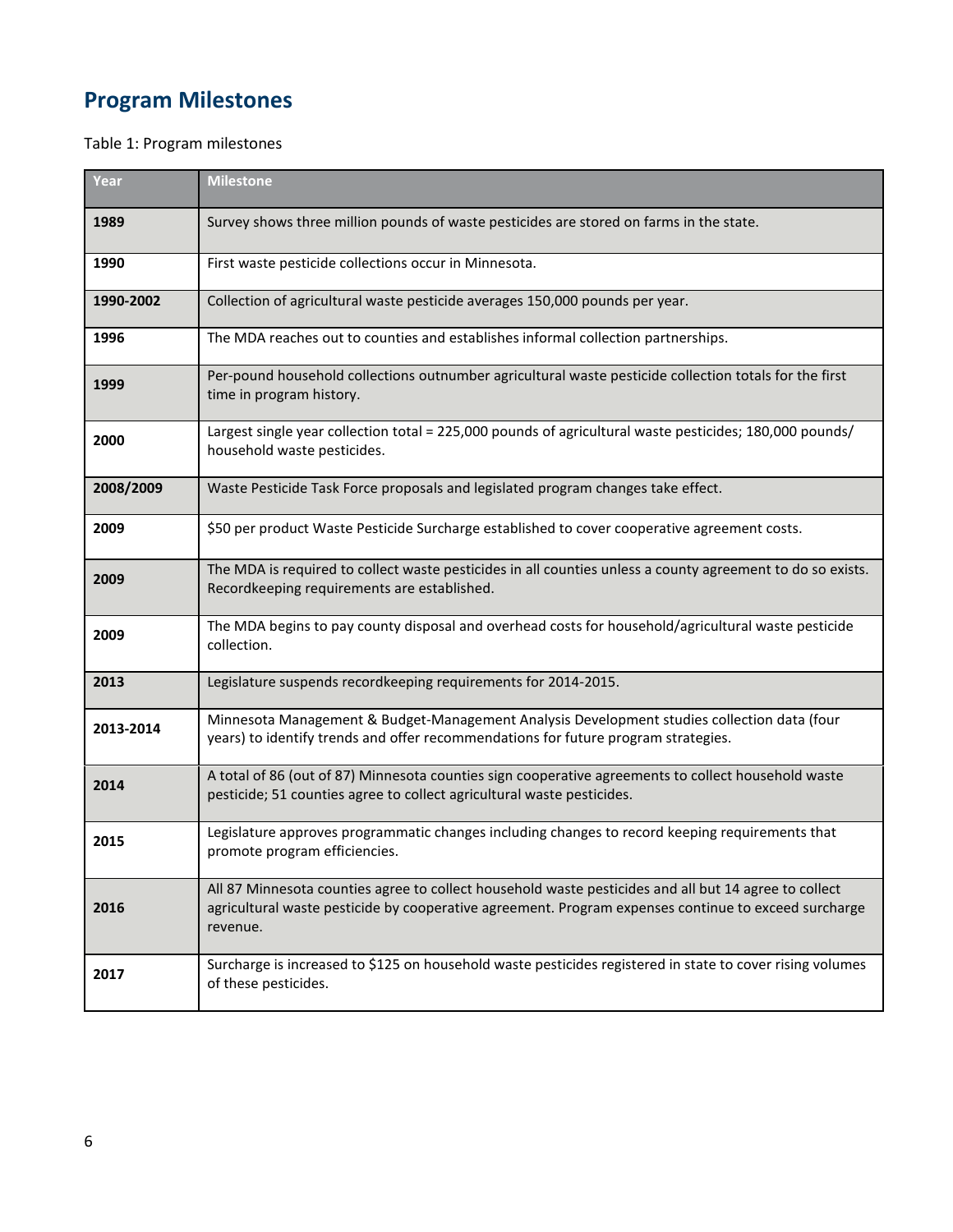# <span id="page-5-0"></span>**Program Milestones**

#### Table 1: Program milestones

| Year      | <b>Milestone</b>                                                                                                                                                                                                          |
|-----------|---------------------------------------------------------------------------------------------------------------------------------------------------------------------------------------------------------------------------|
| 1989      | Survey shows three million pounds of waste pesticides are stored on farms in the state.                                                                                                                                   |
| 1990      | First waste pesticide collections occur in Minnesota.                                                                                                                                                                     |
| 1990-2002 | Collection of agricultural waste pesticide averages 150,000 pounds per year.                                                                                                                                              |
| 1996      | The MDA reaches out to counties and establishes informal collection partnerships.                                                                                                                                         |
| 1999      | Per-pound household collections outnumber agricultural waste pesticide collection totals for the first<br>time in program history.                                                                                        |
| 2000      | Largest single year collection total = 225,000 pounds of agricultural waste pesticides; 180,000 pounds/<br>household waste pesticides.                                                                                    |
| 2008/2009 | Waste Pesticide Task Force proposals and legislated program changes take effect.                                                                                                                                          |
| 2009      | \$50 per product Waste Pesticide Surcharge established to cover cooperative agreement costs.                                                                                                                              |
| 2009      | The MDA is required to collect waste pesticides in all counties unless a county agreement to do so exists.<br>Recordkeeping requirements are established.                                                                 |
| 2009      | The MDA begins to pay county disposal and overhead costs for household/agricultural waste pesticide<br>collection.                                                                                                        |
| 2013      | Legislature suspends recordkeeping requirements for 2014-2015.                                                                                                                                                            |
| 2013-2014 | Minnesota Management & Budget-Management Analysis Development studies collection data (four<br>years) to identify trends and offer recommendations for future program strategies.                                         |
| 2014      | A total of 86 (out of 87) Minnesota counties sign cooperative agreements to collect household waste<br>pesticide; 51 counties agree to collect agricultural waste pesticides.                                             |
| 2015      | Legislature approves programmatic changes including changes to record keeping requirements that<br>promote program efficiencies.                                                                                          |
| 2016      | All 87 Minnesota counties agree to collect household waste pesticides and all but 14 agree to collect<br>agricultural waste pesticide by cooperative agreement. Program expenses continue to exceed surcharge<br>revenue. |
| 2017      | Surcharge is increased to \$125 on household waste pesticides registered in state to cover rising volumes<br>of these pesticides.                                                                                         |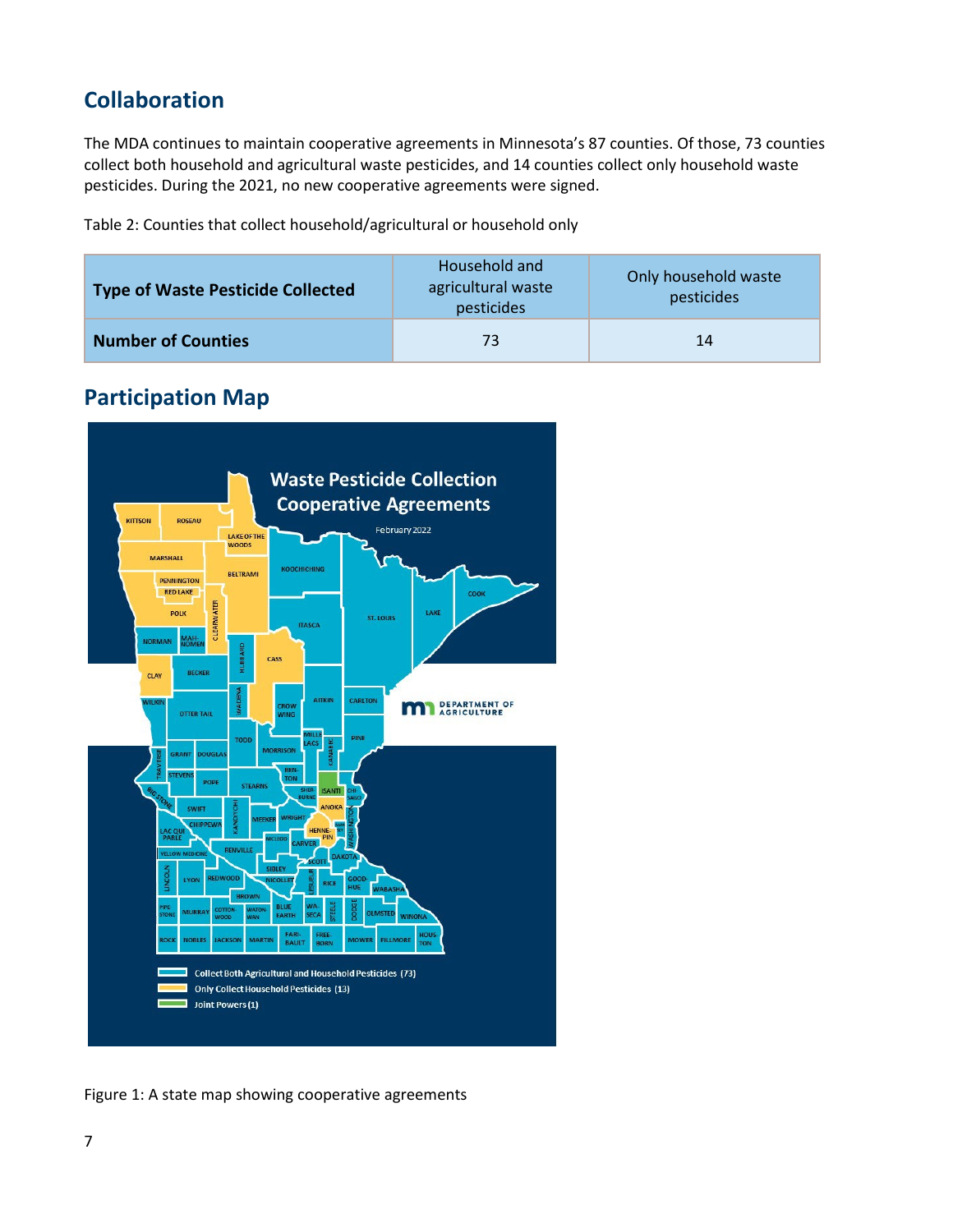## <span id="page-6-0"></span>**Collaboration**

The MDA continues to maintain cooperative agreements in Minnesota's 87 counties. Of those, 73 counties collect both household and agricultural waste pesticides, and 14 counties collect only household waste pesticides. During the 2021, no new cooperative agreements were signed.

Table 2: Counties that collect household/agricultural or household only

| <b>Type of Waste Pesticide Collected</b> | Household and<br>agricultural waste<br>pesticides | Only household waste<br>pesticides |  |
|------------------------------------------|---------------------------------------------------|------------------------------------|--|
| <b>Number of Counties</b>                | 73                                                | 14                                 |  |

## **Participation Map**



Figure 1: A state map showing cooperative agreements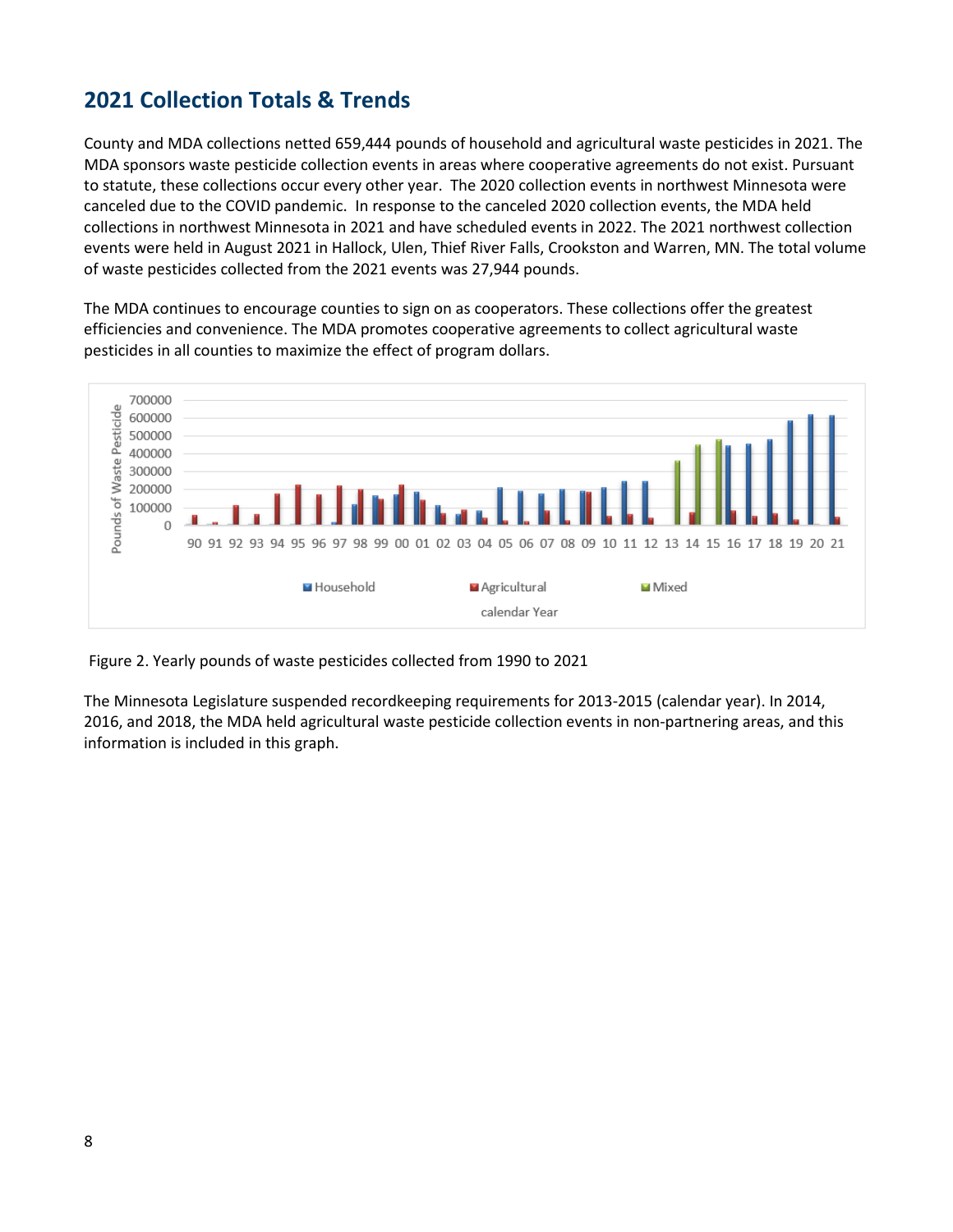## <span id="page-7-0"></span>**2021 Collection Totals & Trends**

County and MDA collections netted 659,444 pounds of household and agricultural waste pesticides in 2021. The MDA sponsors waste pesticide collection events in areas where cooperative agreements do not exist. Pursuant to statute, these collections occur every other year. The 2020 collection events in northwest Minnesota were canceled due to the COVID pandemic. In response to the canceled 2020 collection events, the MDA held collections in northwest Minnesota in 2021 and have scheduled events in 2022. The 2021 northwest collection events were held in August 2021 in Hallock, Ulen, Thief River Falls, Crookston and Warren, MN. The total volume of waste pesticides collected from the 2021 events was 27,944 pounds.

The MDA continues to encourage counties to sign on as cooperators. These collections offer the greatest efficiencies and convenience. The MDA promotes cooperative agreements to collect agricultural waste pesticides in all counties to maximize the effect of program dollars.



Figure 2. Yearly pounds of waste pesticides collected from 1990 to 2021

The Minnesota Legislature suspended recordkeeping requirements for 2013-2015 (calendar year). In 2014, 2016, and 2018, the MDA held agricultural waste pesticide collection events in non-partnering areas, and this information is included in this graph.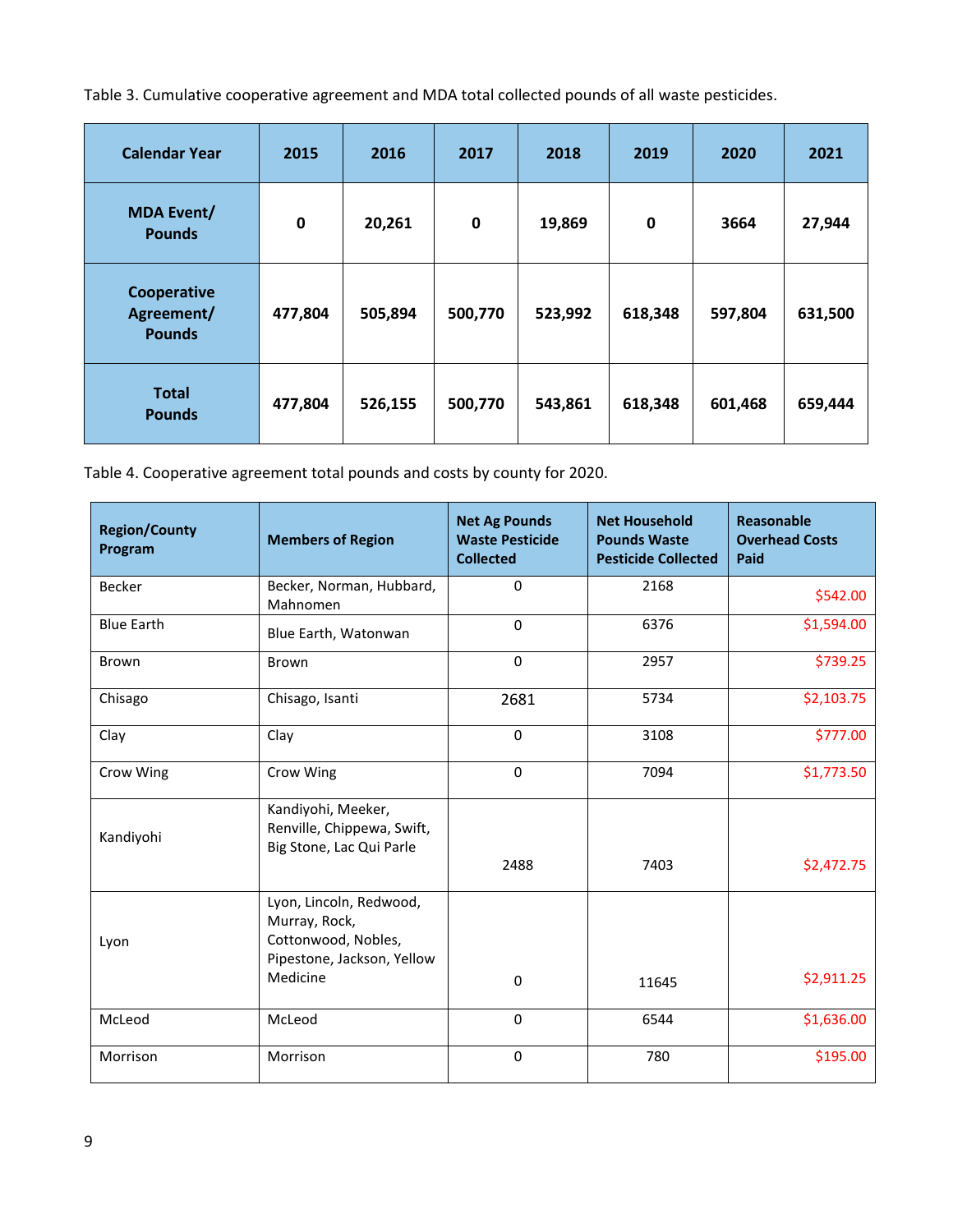Table 3. Cumulative cooperative agreement and MDA total collected pounds of all waste pesticides.

| <b>Calendar Year</b>                       | 2015      | 2016    | 2017        | 2018    | 2019        | 2020    | 2021    |
|--------------------------------------------|-----------|---------|-------------|---------|-------------|---------|---------|
| <b>MDA Event/</b><br><b>Pounds</b>         | $\pmb{0}$ | 20,261  | $\mathbf 0$ | 19,869  | $\mathbf 0$ | 3664    | 27,944  |
| Cooperative<br>Agreement/<br><b>Pounds</b> | 477,804   | 505,894 | 500,770     | 523,992 | 618,348     | 597,804 | 631,500 |
| <b>Total</b><br><b>Pounds</b>              | 477,804   | 526,155 | 500,770     | 543,861 | 618,348     | 601,468 | 659,444 |

Table 4. Cooperative agreement total pounds and costs by county for 2020.

| <b>Region/County</b><br>Program | <b>Members of Region</b>                                                                                  | <b>Net Ag Pounds</b><br><b>Waste Pesticide</b><br><b>Collected</b> | <b>Net Household</b><br><b>Pounds Waste</b><br><b>Pesticide Collected</b> | <b>Reasonable</b><br><b>Overhead Costs</b><br>Paid |
|---------------------------------|-----------------------------------------------------------------------------------------------------------|--------------------------------------------------------------------|---------------------------------------------------------------------------|----------------------------------------------------|
| Becker                          | Becker, Norman, Hubbard,<br>Mahnomen                                                                      | 0                                                                  | 2168                                                                      | \$542.00                                           |
| <b>Blue Earth</b>               | Blue Earth, Watonwan                                                                                      | $\Omega$                                                           | 6376                                                                      | \$1,594.00                                         |
| Brown                           | Brown                                                                                                     | $\mathbf 0$                                                        | 2957                                                                      | \$739.25                                           |
| Chisago                         | Chisago, Isanti                                                                                           | 2681                                                               | 5734                                                                      | \$2,103.75                                         |
| Clay                            | Clay                                                                                                      | $\mathbf 0$                                                        | 3108                                                                      | \$777.00                                           |
| Crow Wing                       | Crow Wing                                                                                                 | $\mathbf 0$                                                        | 7094                                                                      | \$1,773.50                                         |
| Kandiyohi                       | Kandiyohi, Meeker,<br>Renville, Chippewa, Swift,<br>Big Stone, Lac Qui Parle                              | 2488                                                               | 7403                                                                      | \$2,472.75                                         |
| Lyon                            | Lyon, Lincoln, Redwood,<br>Murray, Rock,<br>Cottonwood, Nobles,<br>Pipestone, Jackson, Yellow<br>Medicine | 0                                                                  | 11645                                                                     | \$2,911.25                                         |
| McLeod                          | McLeod                                                                                                    | $\Omega$                                                           | 6544                                                                      | \$1,636.00                                         |
| Morrison                        | Morrison                                                                                                  | $\mathbf 0$                                                        | 780                                                                       | \$195.00                                           |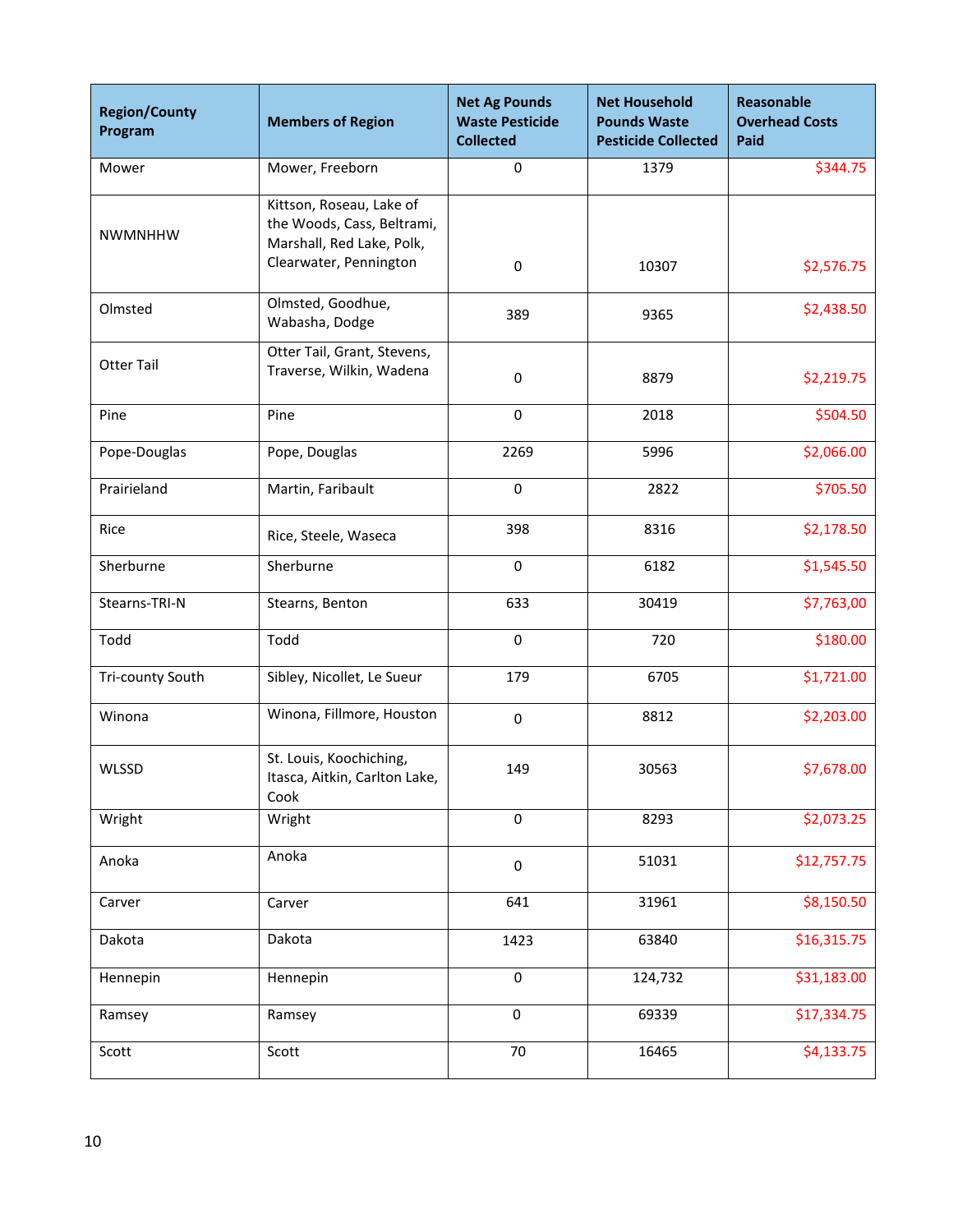| <b>Region/County</b><br>Program | <b>Members of Region</b>                                                                                      | <b>Net Ag Pounds</b><br><b>Waste Pesticide</b><br><b>Collected</b> | <b>Net Household</b><br><b>Pounds Waste</b><br><b>Pesticide Collected</b> | Reasonable<br><b>Overhead Costs</b><br>Paid |
|---------------------------------|---------------------------------------------------------------------------------------------------------------|--------------------------------------------------------------------|---------------------------------------------------------------------------|---------------------------------------------|
| Mower                           | Mower, Freeborn                                                                                               | 0                                                                  | 1379                                                                      | \$344.75                                    |
| <b>NWMNHHW</b>                  | Kittson, Roseau, Lake of<br>the Woods, Cass, Beltrami,<br>Marshall, Red Lake, Polk,<br>Clearwater, Pennington | 0                                                                  | 10307                                                                     | \$2,576.75                                  |
| Olmsted                         | Olmsted, Goodhue,<br>Wabasha, Dodge                                                                           | 389                                                                | 9365                                                                      | \$2,438.50                                  |
| <b>Otter Tail</b>               | Otter Tail, Grant, Stevens,<br>Traverse, Wilkin, Wadena                                                       | 0                                                                  | 8879                                                                      | \$2,219.75                                  |
| Pine                            | Pine                                                                                                          | $\mathbf 0$                                                        | 2018                                                                      | \$504.50                                    |
| Pope-Douglas                    | Pope, Douglas                                                                                                 | 2269                                                               | 5996                                                                      | \$2,066.00                                  |
| Prairieland                     | Martin, Faribault                                                                                             | 0                                                                  | 2822                                                                      | \$705.50                                    |
| Rice                            | Rice, Steele, Waseca                                                                                          | 398                                                                | 8316                                                                      | \$2,178.50                                  |
| Sherburne                       | Sherburne                                                                                                     | 0                                                                  | 6182                                                                      | \$1,545.50                                  |
| Stearns-TRI-N                   | Stearns, Benton                                                                                               | 633                                                                | 30419                                                                     | \$7,763,00                                  |
| Todd                            | Todd                                                                                                          | $\mathbf 0$                                                        | 720                                                                       | \$180.00                                    |
| Tri-county South                | Sibley, Nicollet, Le Sueur                                                                                    | 179                                                                | 6705                                                                      | \$1,721.00                                  |
| Winona                          | Winona, Fillmore, Houston                                                                                     | $\pmb{0}$                                                          | 8812                                                                      | \$2,203.00                                  |
| WLSSD                           | St. Louis, Koochiching,<br>Itasca, Aitkin, Carlton Lake,<br>Cook                                              | 149                                                                | 30563                                                                     | \$7,678.00                                  |
| Wright                          | Wright                                                                                                        | 0                                                                  | 8293                                                                      | \$2,073.25                                  |
| Anoka                           | Anoka                                                                                                         | $\pmb{0}$                                                          | 51031                                                                     | \$12,757.75                                 |
| Carver                          | Carver                                                                                                        | 641                                                                | 31961                                                                     | \$8,150.50                                  |
| Dakota                          | Dakota                                                                                                        | 1423                                                               | 63840                                                                     | \$16,315.75                                 |
| Hennepin                        | Hennepin                                                                                                      | 0                                                                  | 124,732                                                                   | \$31,183.00                                 |
| Ramsey                          | Ramsey                                                                                                        | $\mathsf 0$                                                        | 69339                                                                     | \$17,334.75                                 |
| Scott                           | Scott                                                                                                         | 70                                                                 | 16465                                                                     | \$4,133.75                                  |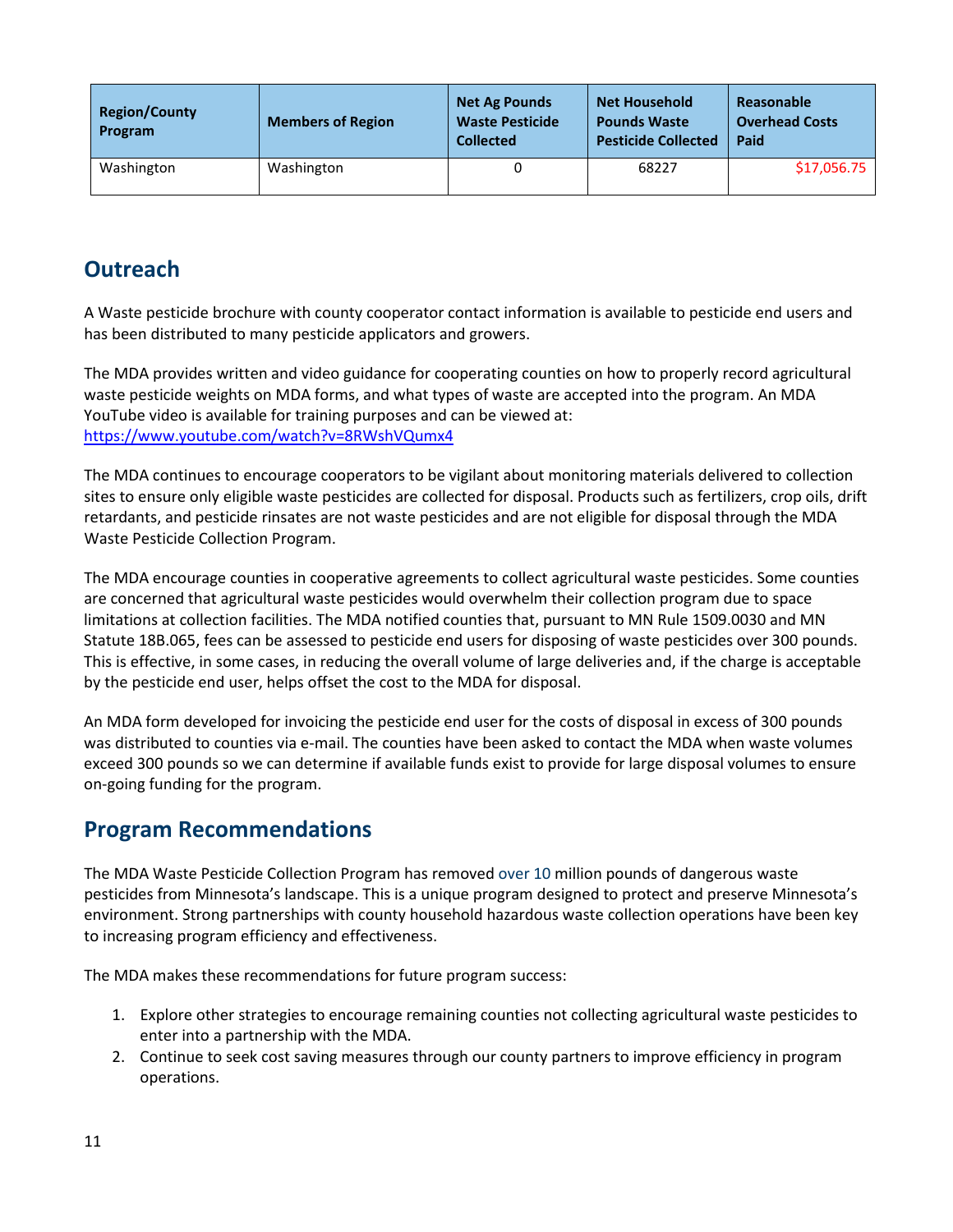| <b>Region/County</b><br>Program | <b>Members of Region</b> | <b>Net Ag Pounds</b><br><b>Waste Pesticide</b><br><b>Collected</b> | <b>Net Household</b><br><b>Pounds Waste</b><br><b>Pesticide Collected</b> | Reasonable<br><b>Overhead Costs</b><br>Paid |  |
|---------------------------------|--------------------------|--------------------------------------------------------------------|---------------------------------------------------------------------------|---------------------------------------------|--|
| Washington                      | Washington               |                                                                    | 68227                                                                     | \$17,056.75                                 |  |

## <span id="page-10-0"></span>**Outreach**

A Waste pesticide brochure with county cooperator contact information is available to pesticide end users and has been distributed to many pesticide applicators and growers.

The MDA provides written and video guidance for cooperating counties on how to properly record agricultural waste pesticide weights on MDA forms, and what types of waste are accepted into the program. An MDA YouTube video is available for training purposes and can be viewed at: <https://www.youtube.com/watch?v=8RWshVQumx4>

The MDA continues to encourage cooperators to be vigilant about monitoring materials delivered to collection sites to ensure only eligible waste pesticides are collected for disposal. Products such as fertilizers, crop oils, drift retardants, and pesticide rinsates are not waste pesticides and are not eligible for disposal through the MDA Waste Pesticide Collection Program.

The MDA encourage counties in cooperative agreements to collect agricultural waste pesticides. Some counties are concerned that agricultural waste pesticides would overwhelm their collection program due to space limitations at collection facilities. The MDA notified counties that, pursuant to MN Rule 1509.0030 and MN Statute 18B.065, fees can be assessed to pesticide end users for disposing of waste pesticides over 300 pounds. This is effective, in some cases, in reducing the overall volume of large deliveries and, if the charge is acceptable by the pesticide end user, helps offset the cost to the MDA for disposal.

An MDA form developed for invoicing the pesticide end user for the costs of disposal in excess of 300 pounds was distributed to counties via e-mail. The counties have been asked to contact the MDA when waste volumes exceed 300 pounds so we can determine if available funds exist to provide for large disposal volumes to ensure on-going funding for the program.

## <span id="page-10-1"></span>**Program Recommendations**

The MDA Waste Pesticide Collection Program has removed over 10 million pounds of dangerous waste pesticides from Minnesota's landscape. This is a unique program designed to protect and preserve Minnesota's environment. Strong partnerships with county household hazardous waste collection operations have been key to increasing program efficiency and effectiveness.

The MDA makes these recommendations for future program success:

- 1. Explore other strategies to encourage remaining counties not collecting agricultural waste pesticides to enter into a partnership with the MDA.
- 2. Continue to seek cost saving measures through our county partners to improve efficiency in program operations.